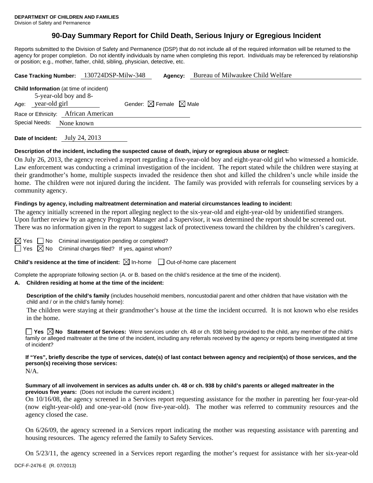# **90-Day Summary Report for Child Death, Serious Injury or Egregious Incident**

Reports submitted to the Division of Safety and Permanence (DSP) that do not include all of the required information will be returned to the agency for proper completion. Do not identify individuals by name when completing this report. Individuals may be referenced by relationship or position; e.g., mother, father, child, sibling, physician, detective, etc.

| Case Tracking Number: 130724DSP-Milw-348                                                         |  | Agency:                                     | Bureau of Milwaukee Child Welfare |  |  |  |
|--------------------------------------------------------------------------------------------------|--|---------------------------------------------|-----------------------------------|--|--|--|
| <b>Child Information</b> (at time of incident)<br>5-year-old boy and 8-<br>year-old girl<br>Age: |  | Gender: $\boxtimes$ Female $\boxtimes$ Male |                                   |  |  |  |
| Race or Ethnicity: African American<br>Special Needs:<br>None known                              |  |                                             |                                   |  |  |  |
|                                                                                                  |  |                                             |                                   |  |  |  |

**Date of Incident:** July 24, 2013

#### **Description of the incident, including the suspected cause of death, injury or egregious abuse or neglect:**

On July 26, 2013, the agency received a report regarding a five-year-old boy and eight-year-old girl who witnessed a homicide. Law enforcement was conducting a criminal investigation of the incident. The report stated while the children were staying at their grandmother's home, multiple suspects invaded the residence then shot and killed the children's uncle while inside the home. The children were not injured during the incident. The family was provided with referrals for counseling services by a community agency.

#### **Findings by agency, including maltreatment determination and material circumstances leading to incident:**

The agency initially screened in the report alleging neglect to the six-year-old and eight-year-old by unidentified strangers. Upon further review by an agency Program Manager and a Supervisor, it was determined the report should be screened out. There was no information given in the report to suggest lack of protectiveness toward the children by the children's caregivers.

 $\Box$  No Criminal investigation pending or completed?

 $\Box$  Yes  $\boxtimes$  No Criminal charges filed? If yes, against whom?

**Child's residence at the time of incident:**  $\boxtimes$  In-home  $\Box$  Out-of-home care placement

Complete the appropriate following section (A. or B. based on the child's residence at the time of the incident).

#### **A. Children residing at home at the time of the incident:**

**Description of the child's family** (includes household members, noncustodial parent and other children that have visitation with the child and / or in the child's family home):

 The children were staying at their grandmother's house at the time the incident occurred. It is not known who else resides in the home.

**Yes**  $\boxtimes$  **No** Statement of Services: Were services under ch. 48 or ch. 938 being provided to the child, any member of the child's family or alleged maltreater at the time of the incident, including any referrals received by the agency or reports being investigated at time of incident?

**If "Yes", briefly describe the type of services, date(s) of last contact between agency and recipient(s) of those services, and the person(s) receiving those services:** 

N/A.

**Summary of all involvement in services as adults under ch. 48 or ch. 938 by child's parents or alleged maltreater in the previous five years:** (Does not include the current incident.)

On 10/16/08, the agency screened in a Services report requesting assistance for the mother in parenting her four-year-old (now eight-year-old) and one-year-old (now five-year-old). The mother was referred to community resources and the agency closed the case.

On 6/26/09, the agency screened in a Services report indicating the mother was requesting assistance with parenting and housing resources. The agency referred the family to Safety Services.

On 5/23/11, the agency screened in a Services report regarding the mother's request for assistance with her six-year-old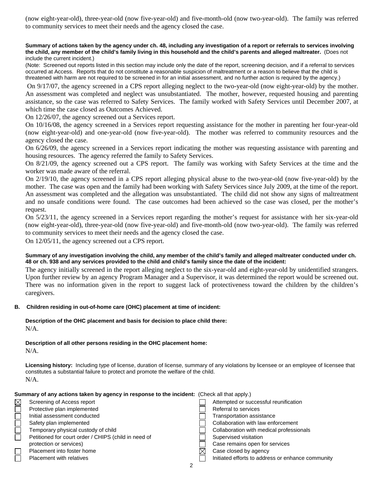(now eight-year-old), three-year-old (now five-year-old) and five-month-old (now two-year-old). The family was referred to community services to meet their needs and the agency closed the case.

#### **Summary of actions taken by the agency under ch. 48, including any investigation of a report or referrals to services involving the child, any member of the child's family living in this household and the child's parents and alleged maltreater.** (Does not include the current incident.)

(Note: Screened out reports listed in this section may include only the date of the report, screening decision, and if a referral to services occurred at Access. Reports that do not constitute a reasonable suspicion of maltreatment or a reason to believe that the child is threatened with harm are not required to be screened in for an initial assessment, and no further action is required by the agency.)

 On 9/17/07, the agency screened in a CPS report alleging neglect to the two-year-old (now eight-year-old) by the mother. An assessment was completed and neglect was unsubstantiated. The mother, however, requested housing and parenting assistance, so the case was referred to Safety Services. The family worked with Safety Services until December 2007, at which time the case closed as Outcomes Achieved.

On 12/26/07, the agency screened out a Services report.

On 10/16/08, the agency screened in a Services report requesting assistance for the mother in parenting her four-year-old (now eight-year-old) and one-year-old (now five-year-old). The mother was referred to community resources and the agency closed the case.

On 6/26/09, the agency screened in a Services report indicating the mother was requesting assistance with parenting and housing resources. The agency referred the family to Safety Services.

On 8/21/09, the agency screened out a CPS report. The family was working with Safety Services at the time and the worker was made aware of the referral.

On 2/19/10, the agency screened in a CPS report alleging physical abuse to the two-year-old (now five-year-old) by the mother. The case was open and the family had been working with Safety Services since July 2009, at the time of the report. An assessment was completed and the allegation was unsubstantiated. The child did not show any signs of maltreatment and no unsafe conditions were found. The case outcomes had been achieved so the case was closed, per the mother's request.

On 5/23/11, the agency screened in a Services report regarding the mother's request for assistance with her six-year-old (now eight-year-old), three-year-old (now five-year-old) and five-month-old (now two-year-old). The family was referred to community services to meet their needs and the agency closed the case.

On 12/05/11, the agency screened out a CPS report.

## **Summary of any investigation involving the child, any member of the child's family and alleged maltreater conducted under ch. 48 or ch. 938 and any services provided to the child and child's family since the date of the incident:**

The agency initially screened in the report alleging neglect to the six-year-old and eight-year-old by unidentified strangers. Upon further review by an agency Program Manager and a Supervisor, it was determined the report would be screened out. There was no information given in the report to suggest lack of protectiveness toward the children by the children's caregivers.

## **B. Children residing in out-of-home care (OHC) placement at time of incident:**

## **Description of the OHC placement and basis for decision to place child there:** N/A.

## **Description of all other persons residing in the OHC placement home:**

**Licensing history:** Including type of license, duration of license, summary of any violations by licensee or an employee of licensee that constitutes a substantial failure to protect and promote the welfare of the child.  $N/A$ 

|                                 | $\mathbf{N}$                                                                                                                                                                                                                                                                 |  |                                                                                                                                                                                                                                                                         |  |
|---------------------------------|------------------------------------------------------------------------------------------------------------------------------------------------------------------------------------------------------------------------------------------------------------------------------|--|-------------------------------------------------------------------------------------------------------------------------------------------------------------------------------------------------------------------------------------------------------------------------|--|
|                                 | Summary of any actions taken by agency in response to the incident: (Check all that apply.)                                                                                                                                                                                  |  |                                                                                                                                                                                                                                                                         |  |
| $\boxtimes$<br>$\Box$<br>2000 L | Screening of Access report<br>Protective plan implemented<br>Initial assessment conducted<br>Safety plan implemented<br>Temporary physical custody of child<br>Petitioned for court order / CHIPS (child in need of<br>protection or services)<br>Placement into foster home |  | Attempted or successful reunification<br>Referral to services<br><b>Transportation assistance</b><br>Collaboration with law enforcement<br>Collaboration with medical professionals<br>Supervised visitation<br>Case remains open for services<br>Case closed by agency |  |
|                                 | <b>Placement with relatives</b>                                                                                                                                                                                                                                              |  | Initiated efforts to address or enhance community                                                                                                                                                                                                                       |  |